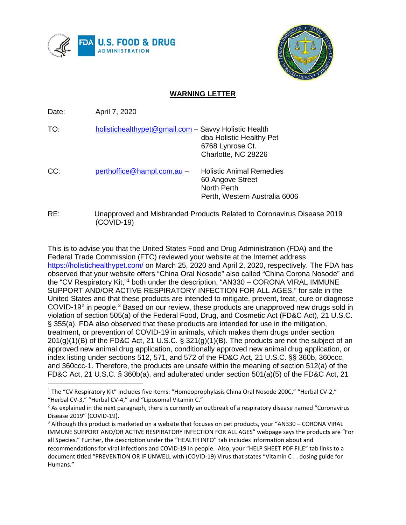



## **WARNING LETTER**

Date: April 7, 2020

| TO: | holistichealthypet@gmail.com - Savvy Holistic Health | dba Holistic Healthy Pet<br>6768 Lynrose Ct.<br>Charlotte, NC 28226                                 |
|-----|------------------------------------------------------|-----------------------------------------------------------------------------------------------------|
| CC: | perthoffice@hampl.com.au -                           | <b>Holistic Animal Remedies</b><br>60 Angove Street<br>North Perth<br>Perth, Western Australia 6006 |

RE: Unapproved and Misbranded Products Related to Coronavirus Disease 2019 (COVID-19)

This is to advise you that the United States Food and Drug Administration (FDA) and the Federal Trade Commission (FTC) reviewed your website at the Internet address <https://holistichealthypet.com/> on March 25, 2020 and April 2, 2020, respectively. The FDA has observed that your website offers "China Oral Nosode" also called "China Corona Nosode" and the "CV Respiratory Kit,"[1](#page-0-0) both under the description, "AN330 – CORONA VIRAL IMMUNE SUPPORT AND/OR ACTIVE RESPIRATORY INFECTION FOR ALL AGES," for sale in the United States and that these products are intended to mitigate, prevent, treat, cure or diagnose COVID-19<sup>[2](#page-0-1)</sup> in people.<sup>[3](#page-0-2)</sup> Based on our review, these products are unapproved new drugs sold in violation of section 505(a) of the Federal Food, Drug, and Cosmetic Act (FD&C Act), 21 U.S.C. § 355(a). FDA also observed that these products are intended for use in the mitigation, treatment, or prevention of COVID-19 in animals, which makes them drugs under section  $201(g)(1)(B)$  of the FD&C Act, 21 U.S.C. § 321(g)(1)(B). The products are not the subject of an approved new animal drug application, conditionally approved new animal drug application, or index listing under sections 512, 571, and 572 of the FD&C Act, 21 U.S.C. §§ 360b, 360ccc, and 360ccc-1. Therefore, the products are unsafe within the meaning of section 512(a) of the FD&C Act, 21 U.S.C. § 360b(a), and adulterated under section 501(a)(5) of the FD&C Act, 21

<span id="page-0-0"></span><sup>&</sup>lt;sup>1</sup> The "CV Respiratory Kit" includes five items: "Homeoprophylasis China Oral Nosode 200C," "Herbal CV-2," "Herbal CV-3," "Herbal CV-4," and "Liposomal Vitamin C."

<span id="page-0-1"></span> $<sup>2</sup>$  As explained in the next paragraph, there is currently an outbreak of a respiratory disease named "Coronavirus</sup> Disease 2019" (COVID-19).

<span id="page-0-2"></span><sup>3</sup> Although this product is marketed on a website that focuses on pet products, your "AN330 – CORONA VIRAL IMMUNE SUPPORT AND/OR ACTIVE RESPIRATORY INFECTION FOR ALL AGES" webpage says the products are "For all Species." Further, the description under the "HEALTH INFO" tab includes information about and recommendations for viral infections and COVID-19 in people. Also, your "HELP SHEET PDF FILE" tab links to a document titled "PREVENTION OR IF UNWELL with (COVID-19) Virus that states "Vitamin C . . dosing guide for Humans."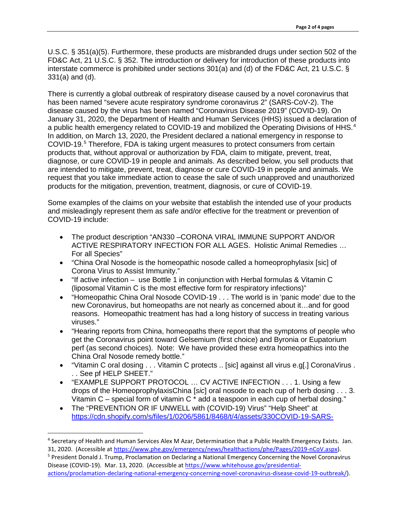U.S.C. § 351(a)(5). Furthermore, these products are misbranded drugs under section 502 of the FD&C Act, 21 U.S.C. § 352. The introduction or delivery for introduction of these products into interstate commerce is prohibited under sections 301(a) and (d) of the FD&C Act, 21 U.S.C. § 331(a) and (d).

There is currently a global outbreak of respiratory disease caused by a novel coronavirus that has been named "severe acute respiratory syndrome coronavirus 2" (SARS-CoV-2). The disease caused by the virus has been named "Coronavirus Disease 2019" (COVID-19). On January 31, 2020, the Department of Health and Human Services (HHS) issued a declaration of a public health emergency related to COVID-19 and mobilized the Operating Divisions of HHS.<sup>[4](#page-1-0)</sup> In addition, on March 13, 2020, the President declared a national emergency in response to COVID-19.[5](#page-1-1) Therefore, FDA is taking urgent measures to protect consumers from certain products that, without approval or authorization by FDA, claim to mitigate, prevent, treat, diagnose, or cure COVID-19 in people and animals. As described below, you sell products that are intended to mitigate, prevent, treat, diagnose or cure COVID-19 in people and animals. We request that you take immediate action to cease the sale of such unapproved and unauthorized products for the mitigation, prevention, treatment, diagnosis, or cure of COVID-19.

Some examples of the claims on your website that establish the intended use of your products and misleadingly represent them as safe and/or effective for the treatment or prevention of COVID-19 include:

- The product description "AN330 –CORONA VIRAL IMMUNE SUPPORT AND/OR ACTIVE RESPIRATORY INFECTION FOR ALL AGES. Holistic Animal Remedies … For all Species"
- "China Oral Nosode is the homeopathic nosode called a homeoprophylasix [sic] of Corona Virus to Assist Immunity."
- "If active infection use Bottle 1 in conjunction with Herbal formulas & Vitamin C (liposomal Vitamin C is the most effective form for respiratory infections)"
- "Homeopathic China Oral Nosode COVID-19 . . . The world is in 'panic mode' due to the new Coronavirus, but homeopaths are not nearly as concerned about it…and for good reasons. Homeopathic treatment has had a long history of success in treating various viruses."
- "Hearing reports from China, homeopaths there report that the symptoms of people who get the Coronavirus point toward Gelsemium (first choice) and Byronia or Eupatorium perf (as second choices). Note: We have provided these extra homeopathics into the China Oral Nosode remedy bottle."
- "Vitamin C oral dosing . . . Vitamin C protects .. [sic] against all virus e.g[.] CoronaVirus . . . See pf HELP SHEET."
- "EXAMPLE SUPPORT PROTOCOL … CV ACTIVE INFECTION . . . 1. Using a few drops of the HomeoprophylaxisChina [*sic*] oral nosode to each cup of herb dosing . . . 3. Vitamin C – special form of vitamin C \* add a teaspoon in each cup of herbal dosing."
- The "PREVENTION OR IF UNWELL with (COVID-19) Virus" "Help Sheet" at [https://cdn.shopify.com/s/files/1/0206/5861/8468/t/4/assets/330COVID-19-SARS-](https://cdn.shopify.com/s/files/1/0206/5861/8468/t/4/assets/330COVID-19-SARS-CoronaVirusSUPPORT-HUMAN-1583308491241.pdf)

<span id="page-1-0"></span> <sup>4</sup> Secretary of Health and Human Services Alex M Azar, Determination that a Public Health Emergency Exists. Jan. 31, 2020. (Accessible at [https://www.phe.gov/emergency/news/healthactions/phe/Pages/2019-nCoV.aspx\)](https://www.phe.gov/emergency/news/healthactions/phe/Pages/2019-nCoV.aspx).

<span id="page-1-1"></span><sup>5</sup> President Donald J. Trump, Proclamation on Declaring a National Emergency Concerning the Novel Coronavirus Disease (COVID-19). Mar. 13, 2020. (Accessible at [https://www.whitehouse.gov/presidential](https://www.whitehouse.gov/presidential-actions/proclamation-declaring-national-emergency-concerning-novel-coronavirus-disease-covid-19-outbreak/)[actions/proclamation-declaring-national-emergency-concerning-novel-coronavirus-disease-covid-19-outbreak/\)](https://www.whitehouse.gov/presidential-actions/proclamation-declaring-national-emergency-concerning-novel-coronavirus-disease-covid-19-outbreak/).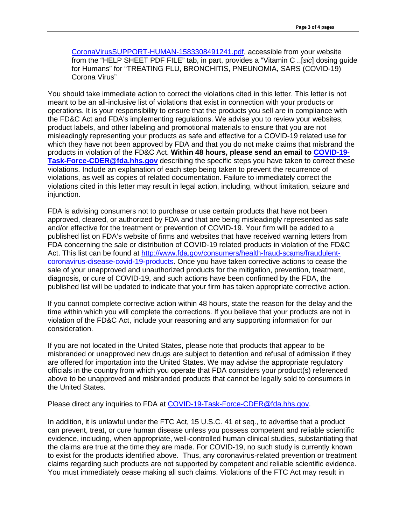[CoronaVirusSUPPORT-HUMAN-1583308491241.pdf,](https://cdn.shopify.com/s/files/1/0206/5861/8468/t/4/assets/330COVID-19-SARS-CoronaVirusSUPPORT-HUMAN-1583308491241.pdf) accessible from your website from the "HELP SHEET PDF FILE" tab, in part, provides a "Vitamin C ..[*sic*] dosing guide for Humans" for "TREATING FLU, BRONCHITIS, PNEUNOMIA, SARS (COVID-19) Corona Virus"

You should take immediate action to correct the violations cited in this letter. This letter is not meant to be an all-inclusive list of violations that exist in connection with your products or operations. It is your responsibility to ensure that the products you sell are in compliance with the FD&C Act and FDA's implementing regulations. We advise you to review your websites, product labels, and other labeling and promotional materials to ensure that you are not misleadingly representing your products as safe and effective for a COVID-19 related use for which they have not been approved by FDA and that you do not make claims that misbrand the products in violation of the FD&C Act. **Within 48 hours, please send an email to [COVID-19-](mailto:COVID-19-Task-Force-CDER@fda.hhs.gov) [Task-Force-CDER@fda.hhs.gov](mailto:COVID-19-Task-Force-CDER@fda.hhs.gov)** describing the specific steps you have taken to correct these violations. Include an explanation of each step being taken to prevent the recurrence of violations, as well as copies of related documentation. Failure to immediately correct the violations cited in this letter may result in legal action, including, without limitation, seizure and injunction.

FDA is advising consumers not to purchase or use certain products that have not been approved, cleared, or authorized by FDA and that are being misleadingly represented as safe and/or effective for the treatment or prevention of COVID-19. Your firm will be added to a published list on FDA's website of firms and websites that have received warning letters from FDA concerning the sale or distribution of COVID-19 related products in violation of the FD&C Act. This list can be found at [http://www.fda.gov/consumers/health-fraud-scams/fraudulent](http://www.fda.gov/consumers/health-fraud-scams/fraudulent-coronavirus-disease-covid-19-products)[coronavirus-disease-covid-19-products.](http://www.fda.gov/consumers/health-fraud-scams/fraudulent-coronavirus-disease-covid-19-products) Once you have taken corrective actions to cease the sale of your unapproved and unauthorized products for the mitigation, prevention, treatment, diagnosis, or cure of COVID-19, and such actions have been confirmed by the FDA, the published list will be updated to indicate that your firm has taken appropriate corrective action.

If you cannot complete corrective action within 48 hours, state the reason for the delay and the time within which you will complete the corrections. If you believe that your products are not in violation of the FD&C Act, include your reasoning and any supporting information for our consideration.

If you are not located in the United States, please note that products that appear to be misbranded or unapproved new drugs are subject to detention and refusal of admission if they are offered for importation into the United States. We may advise the appropriate regulatory officials in the country from which you operate that FDA considers your product(s) referenced above to be unapproved and misbranded products that cannot be legally sold to consumers in the United States.

Please direct any inquiries to FDA at [COVID-19-Task-Force-CDER@fda.hhs.gov.](mailto:COVID-19-Task-Force-CDER@fda.hhs.gov)

In addition, it is unlawful under the FTC Act, 15 U.S.C. 41 et seq., to advertise that a product can prevent, treat, or cure human disease unless you possess competent and reliable scientific evidence, including, when appropriate, well-controlled human clinical studies, substantiating that the claims are true at the time they are made. For COVID-19, no such study is currently known to exist for the products identified above. Thus, any coronavirus-related prevention or treatment claims regarding such products are not supported by competent and reliable scientific evidence. You must immediately cease making all such claims. Violations of the FTC Act may result in